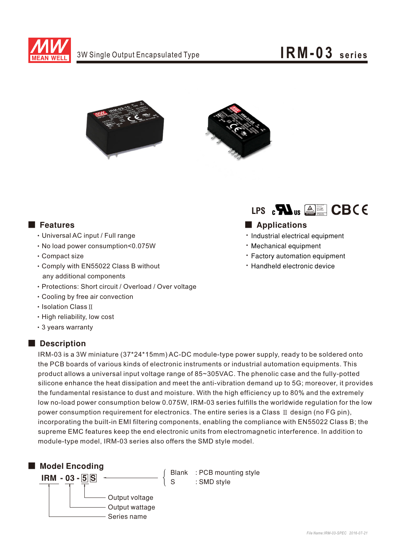





- ‧Universal AC input / Full range
- ‧No load power consumption<0.075W
- ‧Compact size
- ‧Comply with EN55022 Class B without any additional components
- ‧Protections: Short circuit / Overload / Over voltage
- ‧Cooling by free air convection
- ‧Isolation ClassⅡ
- ‧High reliability, low cost
- ‧3 years warranty

#### Description



### ■ Features ■ Particular and Particular and Particular and Particular and Particular and Particular and Particular and Particular and Particular and Particular and Particular and Particular and Particular and Particular an

- · Industrial electrical equipment
- Mechanical equipment
- Factory automation equipment
- Handheld electronic device

IRM-03 is a 3W miniature (37\*24\*15mm) AC-DC module-type power supply, ready to be soldered onto the PCB boards of various kinds of electronic instruments or industrial automation equipments. This product allows a universal input voltage range of 85~305VAC. The phenolic case and the fully-potted silicone enhance the heat dissipation and meet the anti-vibration demand up to 5G; moreover, it provides the fundamental resistance to dust and moisture. With the high efficiency up to 80% and the extremely low no-load power consumption below 0.075W, IRM-03 series fulfills the worldwide regulation for the low power consumption requirement for electronics. The entire series is a Class Ⅱ design (no FG pin), incorporating the built-in EMI filtering components, enabling the compliance with EN55022 Class B; the supreme EMC features keep the end electronic units from electromagnetic interference. In addition to module-type model, IRM-03 series also offers the SMD style model.



Blank : PCB mounting style S : SMD style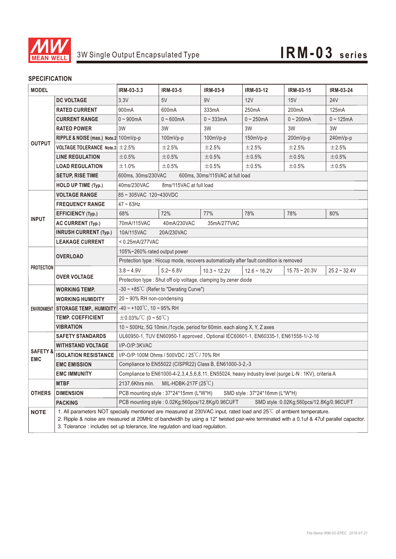

#### **SPECIFICATION**

| <b>MODEL</b>                      |                                                                                                                                                                                                                                                                                                                                                   | IRM-03-3.3                                                                                          | <b>IRM-03-5</b> | <b>IRM-03-9</b> | IRM-03-12          | IRM-03-15          | <b>IRM-03-24</b>  |
|-----------------------------------|---------------------------------------------------------------------------------------------------------------------------------------------------------------------------------------------------------------------------------------------------------------------------------------------------------------------------------------------------|-----------------------------------------------------------------------------------------------------|-----------------|-----------------|--------------------|--------------------|-------------------|
| <b>OUTPUT</b>                     | <b>DC VOLTAGE</b>                                                                                                                                                                                                                                                                                                                                 | 3.3V                                                                                                | 5V              | 9V              | 12V                | 15V                | 24 <sub>V</sub>   |
|                                   | <b>RATED CURRENT</b>                                                                                                                                                                                                                                                                                                                              | 900mA                                                                                               | 600mA           | 333mA           | 250 <sub>m</sub> A | 200 <sub>m</sub> A | 125mA             |
|                                   | <b>CURRENT RANGE</b>                                                                                                                                                                                                                                                                                                                              | $0 - 900mA$                                                                                         | $0 - 600$ mA    | $0 - 333$ mA    | $0 - 250$ mA       | $0 - 200$ mA       | $0 - 125mA$       |
|                                   | <b>RATED POWER</b>                                                                                                                                                                                                                                                                                                                                | 3W                                                                                                  | 3W              | 3W              | 3W                 | 3W                 | 3W                |
|                                   | RIPPLE & NOISE (max.) Note.2 100mVp-p                                                                                                                                                                                                                                                                                                             |                                                                                                     | 100mVp-p        | 100mVp-p        | 150mVp-p           | 200mVp-p           | 240mVp-p          |
|                                   | <b>VOLTAGE TOLERANCE Note.3</b> $\pm 2.5\%$                                                                                                                                                                                                                                                                                                       |                                                                                                     | ±2.5%           | ±2.5%           | ±2.5%              | ±2.5%              | ±2.5%             |
|                                   | <b>LINE REGULATION</b>                                                                                                                                                                                                                                                                                                                            | ±0.5%                                                                                               | ±0.5%           | ±0.5%           | ±0.5%              | ±0.5%              | $\pm 0.5\%$       |
|                                   | <b>LOAD REGULATION</b>                                                                                                                                                                                                                                                                                                                            | ±1.0%                                                                                               | ±0.5%           | ±0.5%           | ±0.5%              | ±0.5%              | $\pm 0.5\%$       |
|                                   | <b>SETUP, RISE TIME</b>                                                                                                                                                                                                                                                                                                                           | 600ms, 30ms/230VAC<br>600ms, 30ms/115VAC at full load                                               |                 |                 |                    |                    |                   |
|                                   | HOLD UP TIME (Typ.)                                                                                                                                                                                                                                                                                                                               | 40ms/230VAC<br>8ms/115VAC at full load                                                              |                 |                 |                    |                    |                   |
| <b>INPUT</b>                      | <b>VOLTAGE RANGE</b>                                                                                                                                                                                                                                                                                                                              | 85~305VAC 120~430VDC                                                                                |                 |                 |                    |                    |                   |
|                                   | <b>FREQUENCY RANGE</b>                                                                                                                                                                                                                                                                                                                            | $47 - 63$ Hz                                                                                        |                 |                 |                    |                    |                   |
|                                   | <b>EFFICIENCY (Typ.)</b>                                                                                                                                                                                                                                                                                                                          | 68%                                                                                                 | 72%             | 77%             | 78%                | 78%                | 80%               |
|                                   | <b>AC CURRENT (Typ.)</b>                                                                                                                                                                                                                                                                                                                          | 70mA/115VAC<br>40mA/230VAC<br>35mA/277VAC                                                           |                 |                 |                    |                    |                   |
|                                   | <b>INRUSH CURRENT (Typ.)</b>                                                                                                                                                                                                                                                                                                                      | 10A/115VAC<br>20A/230VAC                                                                            |                 |                 |                    |                    |                   |
|                                   | <b>LEAKAGE CURRENT</b>                                                                                                                                                                                                                                                                                                                            | $< 0.25$ mA/277VAC                                                                                  |                 |                 |                    |                    |                   |
| <b>PROTECTION</b>                 | <b>OVERLOAD</b>                                                                                                                                                                                                                                                                                                                                   | 105%~260% rated output power                                                                        |                 |                 |                    |                    |                   |
|                                   |                                                                                                                                                                                                                                                                                                                                                   | Protection type : Hiccup mode, recovers automatically after fault condition is removed              |                 |                 |                    |                    |                   |
|                                   | <b>OVER VOLTAGE</b>                                                                                                                                                                                                                                                                                                                               | $3.8 - 4.9V$                                                                                        | $5.2 - 6.8V$    | $10.3 - 12.2V$  | $12.6 - 16.2V$     | $15.75 - 20.3V$    | $25.2 \sim 32.4V$ |
|                                   |                                                                                                                                                                                                                                                                                                                                                   | Protection type : Shut off o/p voltage, clamping by zener diode                                     |                 |                 |                    |                    |                   |
|                                   | <b>WORKING TEMP.</b>                                                                                                                                                                                                                                                                                                                              | $-30 \sim +85^{\circ}$ C (Refer to "Derating Curve")                                                |                 |                 |                    |                    |                   |
|                                   | <b>WORKING HUMIDITY</b>                                                                                                                                                                                                                                                                                                                           | $20 \sim 90\%$ RH non-condensing                                                                    |                 |                 |                    |                    |                   |
|                                   | ENVIRONMENT STORAGE TEMP., HUMIDITY                                                                                                                                                                                                                                                                                                               | $-40 \sim +100^{\circ}$ C, 10 ~ 95% RH                                                              |                 |                 |                    |                    |                   |
|                                   | <b>TEMP. COEFFICIENT</b>                                                                                                                                                                                                                                                                                                                          | $\pm$ 0.03%/°C (0~50°C)                                                                             |                 |                 |                    |                    |                   |
|                                   | VIBRATION                                                                                                                                                                                                                                                                                                                                         | 10 ~ 500Hz, 5G 10min./1cycle, period for 60min. each along X, Y, Z axes                             |                 |                 |                    |                    |                   |
| <b>SAFETY &amp;</b><br><b>EMC</b> | <b>SAFETY STANDARDS</b>                                                                                                                                                                                                                                                                                                                           | UL60950-1, TUV EN60950-1 approved, Optional IEC60601-1, EN60335-1, EN61558-1/-2-16                  |                 |                 |                    |                    |                   |
|                                   | <b>WITHSTAND VOLTAGE</b>                                                                                                                                                                                                                                                                                                                          | I/P-O/P:3KVAC                                                                                       |                 |                 |                    |                    |                   |
|                                   | <b>ISOLATION RESISTANCE</b>                                                                                                                                                                                                                                                                                                                       | I/P-O/P:100M Ohms / 500VDC / 25°C/70% RH                                                            |                 |                 |                    |                    |                   |
|                                   | <b>EMC EMISSION</b>                                                                                                                                                                                                                                                                                                                               | Compliance to EN55022 (CISPR22) Class B, EN61000-3-2,-3                                             |                 |                 |                    |                    |                   |
|                                   | <b>EMC IMMUNITY</b>                                                                                                                                                                                                                                                                                                                               | Compliance to EN61000-4-2,3,4,5,6,8,11, EN55024, heavy industry level (surge L-N : 1KV), criteria A |                 |                 |                    |                    |                   |
| <b>OTHERS</b>                     | <b>MTBF</b>                                                                                                                                                                                                                                                                                                                                       | MIL-HDBK-217F $(25^{\circ}C)$<br>2137.6Khrs min.                                                    |                 |                 |                    |                    |                   |
|                                   | <b>DIMENSION</b>                                                                                                                                                                                                                                                                                                                                  | PCB mounting style: 37*24*15mm (L*W*H)<br>SMD style: 37*24*16mm (L*W*H)                             |                 |                 |                    |                    |                   |
|                                   | <b>PACKING</b>                                                                                                                                                                                                                                                                                                                                    | PCB mounting style: 0.02Kg;560pcs/12.8Kg/0.96CUFT<br>SMD style :0.02Kg;560pcs/12.8Kg/0.96CUFT       |                 |                 |                    |                    |                   |
| <b>NOTE</b>                       | 1. All parameters NOT specially mentioned are measured at 230VAC input, rated load and 25°C of ambient temperature.<br>2. Ripple & noise are measured at 20MHz of bandwidth by using a 12" twisted pair-wire terminated with a 0.1uf & 47uf parallel capacitor.<br>3. Tolerance : includes set up tolerance, line regulation and load regulation. |                                                                                                     |                 |                 |                    |                    |                   |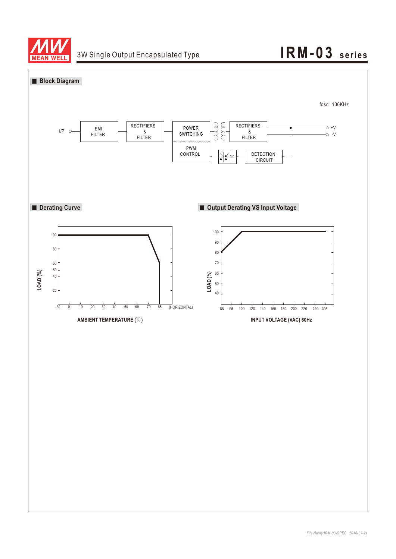

## 3W Single Output Encapsulated Type **IRM-03** series